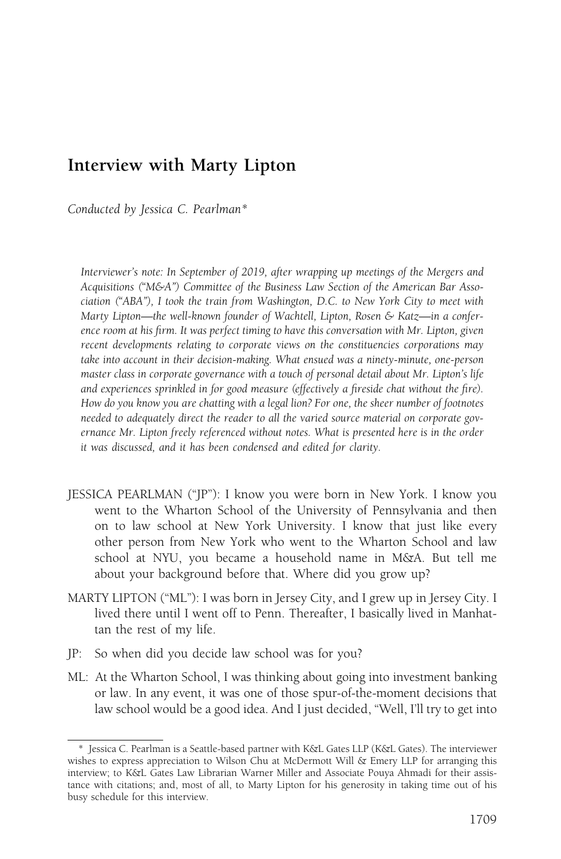## Interview with Marty Lipton

Conducted by Jessica C. Pearlman\*

Interviewer's note: In September of 2019, after wrapping up meetings of the Mergers and Acquisitions ("M&A") Committee of the Business Law Section of the American Bar Association ("ABA"), I took the train from Washington, D.C. to New York City to meet with Marty Lipton—the well-known founder of Wachtell, Lipton, Rosen & Katz—in a conference room at his firm. It was perfect timing to have this conversation with Mr. Lipton, given recent developments relating to corporate views on the constituencies corporations may take into account in their decision-making. What ensued was a ninety-minute, one-person master class in corporate governance with a touch of personal detail about Mr. Lipton's life and experiences sprinkled in for good measure (effectively a fireside chat without the fire). How do you know you are chatting with a legal lion? For one, the sheer number of footnotes needed to adequately direct the reader to all the varied source material on corporate governance Mr. Lipton freely referenced without notes. What is presented here is in the order it was discussed, and it has been condensed and edited for clarity.

- JESSICA PEARLMAN ("JP"): I know you were born in New York. I know you went to the Wharton School of the University of Pennsylvania and then on to law school at New York University. I know that just like every other person from New York who went to the Wharton School and law school at NYU, you became a household name in M&A. But tell me about your background before that. Where did you grow up?
- MARTY LIPTON ("ML"): I was born in Jersey City, and I grew up in Jersey City. I lived there until I went off to Penn. Thereafter, I basically lived in Manhattan the rest of my life.
- JP: So when did you decide law school was for you?
- ML: At the Wharton School, I was thinking about going into investment banking or law. In any event, it was one of those spur-of-the-moment decisions that law school would be a good idea. And I just decided, "Well, I'll try to get into

<sup>\*</sup> Jessica C. Pearlman is a Seattle-based partner with K&L Gates LLP (K&L Gates). The interviewer wishes to express appreciation to Wilson Chu at McDermott Will & Emery LLP for arranging this interview; to K&L Gates Law Librarian Warner Miller and Associate Pouya Ahmadi for their assistance with citations; and, most of all, to Marty Lipton for his generosity in taking time out of his busy schedule for this interview.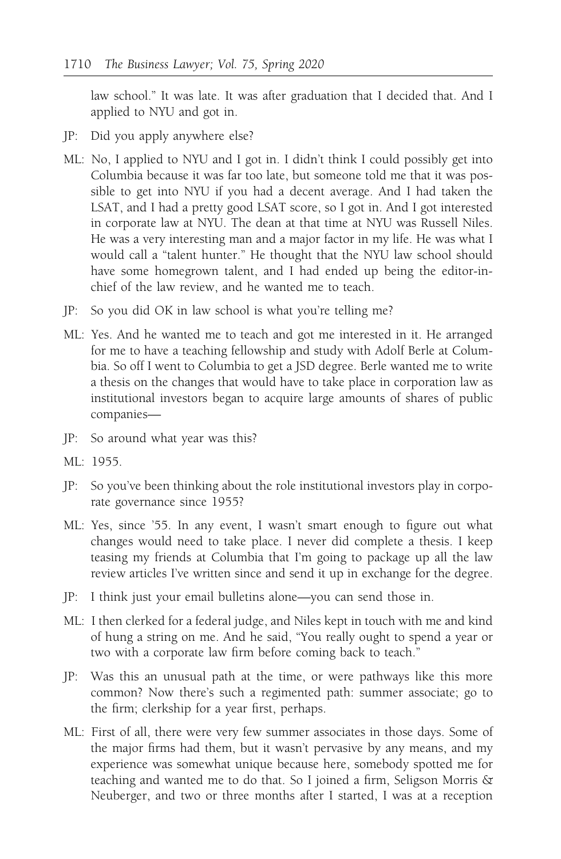law school." It was late. It was after graduation that I decided that. And I applied to NYU and got in.

- JP: Did you apply anywhere else?
- ML: No, I applied to NYU and I got in. I didn't think I could possibly get into Columbia because it was far too late, but someone told me that it was possible to get into NYU if you had a decent average. And I had taken the LSAT, and I had a pretty good LSAT score, so I got in. And I got interested in corporate law at NYU. The dean at that time at NYU was Russell Niles. He was a very interesting man and a major factor in my life. He was what I would call a "talent hunter." He thought that the NYU law school should have some homegrown talent, and I had ended up being the editor-inchief of the law review, and he wanted me to teach.
- JP: So you did OK in law school is what you're telling me?
- ML: Yes. And he wanted me to teach and got me interested in it. He arranged for me to have a teaching fellowship and study with Adolf Berle at Columbia. So off I went to Columbia to get a JSD degree. Berle wanted me to write a thesis on the changes that would have to take place in corporation law as institutional investors began to acquire large amounts of shares of public companies—
- JP: So around what year was this?
- ML: 1955.
- JP: So you've been thinking about the role institutional investors play in corporate governance since 1955?
- ML: Yes, since '55. In any event, I wasn't smart enough to figure out what changes would need to take place. I never did complete a thesis. I keep teasing my friends at Columbia that I'm going to package up all the law review articles I've written since and send it up in exchange for the degree.
- JP: I think just your email bulletins alone—you can send those in.
- ML: I then clerked for a federal judge, and Niles kept in touch with me and kind of hung a string on me. And he said, "You really ought to spend a year or two with a corporate law firm before coming back to teach."
- JP: Was this an unusual path at the time, or were pathways like this more common? Now there's such a regimented path: summer associate; go to the firm; clerkship for a year first, perhaps.
- ML: First of all, there were very few summer associates in those days. Some of the major firms had them, but it wasn't pervasive by any means, and my experience was somewhat unique because here, somebody spotted me for teaching and wanted me to do that. So I joined a firm, Seligson Morris & Neuberger, and two or three months after I started, I was at a reception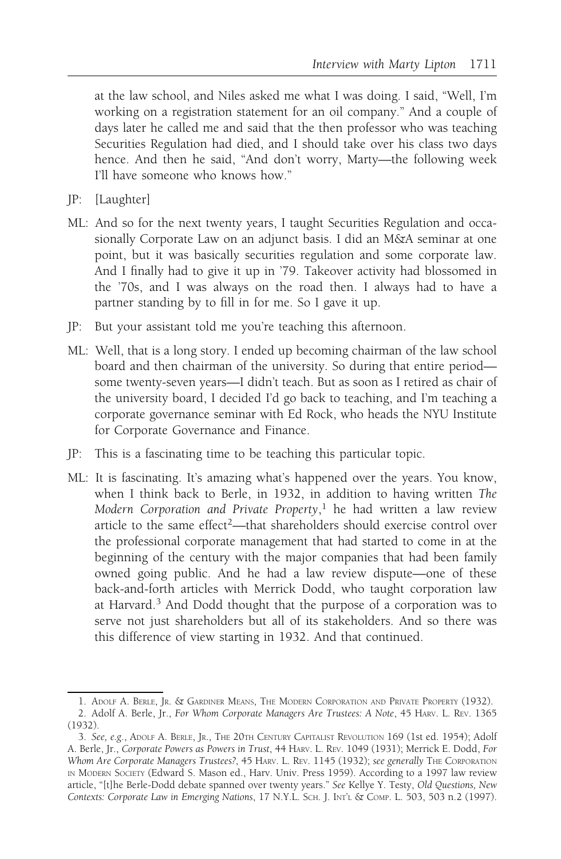at the law school, and Niles asked me what I was doing. I said, "Well, I'm working on a registration statement for an oil company." And a couple of days later he called me and said that the then professor who was teaching Securities Regulation had died, and I should take over his class two days hence. And then he said, "And don't worry, Marty—the following week I'll have someone who knows how."

- JP: [Laughter]
- ML: And so for the next twenty years, I taught Securities Regulation and occasionally Corporate Law on an adjunct basis. I did an M&A seminar at one point, but it was basically securities regulation and some corporate law. And I finally had to give it up in '79. Takeover activity had blossomed in the '70s, and I was always on the road then. I always had to have a partner standing by to fill in for me. So I gave it up.
- JP: But your assistant told me you're teaching this afternoon.
- ML: Well, that is a long story. I ended up becoming chairman of the law school board and then chairman of the university. So during that entire period some twenty-seven years—I didn't teach. But as soon as I retired as chair of the university board, I decided I'd go back to teaching, and I'm teaching a corporate governance seminar with Ed Rock, who heads the NYU Institute for Corporate Governance and Finance.
- JP: This is a fascinating time to be teaching this particular topic.
- ML: It is fascinating. It's amazing what's happened over the years. You know, when I think back to Berle, in 1932, in addition to having written The Modern Corporation and Private Property,<sup>1</sup> he had written a law review article to the same effect<sup>2</sup>—that shareholders should exercise control over the professional corporate management that had started to come in at the beginning of the century with the major companies that had been family owned going public. And he had a law review dispute—one of these back-and-forth articles with Merrick Dodd, who taught corporation law at Harvard.<sup>3</sup> And Dodd thought that the purpose of a corporation was to serve not just shareholders but all of its stakeholders. And so there was this difference of view starting in 1932. And that continued.

<sup>1.</sup> ADOLF A. BERLE, JR.&GARDINER MEANS, THE MODERN CORPORATION AND PRIVATE PROPERTY (1932). 2. Adolf A. Berle, Jr., For Whom Corporate Managers Are Trustees: A Note, 45 HARV. L. REV. 1365

<sup>(1932).</sup>

<sup>3.</sup> See, e.g., ADOLF A. BERLE, JR., THE 20TH CENTURY CAPITALIST REVOLUTION 169 (1st ed. 1954); Adolf A. Berle, Jr., Corporate Powers as Powers in Trust, 44 HARV. L. REV. 1049 (1931); Merrick E. Dodd, For Whom Are Corporate Managers Trustees?, 45 HARV. L. REV. 1145 (1932); see generally THE CORPORATION IN MODERN SOCIETY (Edward S. Mason ed., Harv. Univ. Press 1959). According to a 1997 law review article, "[t]he Berle-Dodd debate spanned over twenty years." See Kellye Y. Testy, Old Questions, New Contexts: Corporate Law in Emerging Nations, 17 N.Y.L. SCH. J. INT'L & COMP. L. 503, 503 n.2 (1997).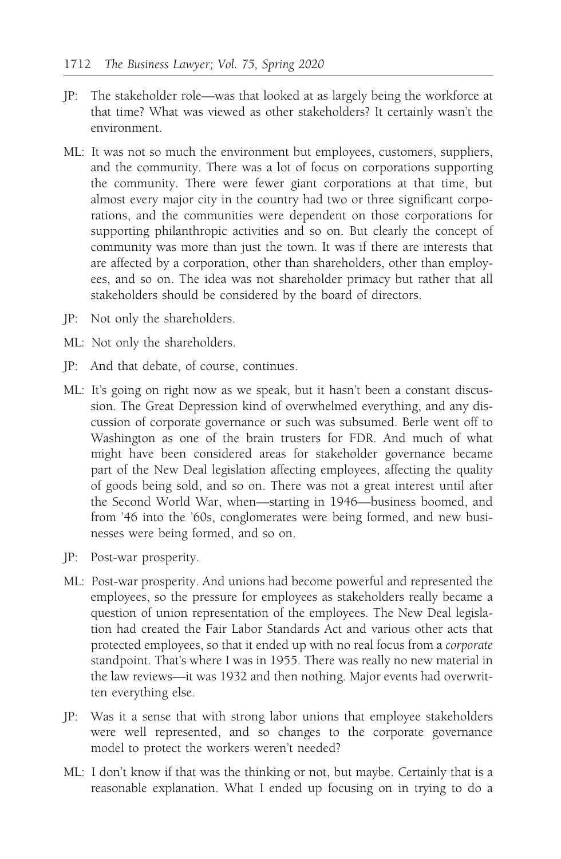- JP: The stakeholder role—was that looked at as largely being the workforce at that time? What was viewed as other stakeholders? It certainly wasn't the environment.
- ML: It was not so much the environment but employees, customers, suppliers, and the community. There was a lot of focus on corporations supporting the community. There were fewer giant corporations at that time, but almost every major city in the country had two or three significant corporations, and the communities were dependent on those corporations for supporting philanthropic activities and so on. But clearly the concept of community was more than just the town. It was if there are interests that are affected by a corporation, other than shareholders, other than employees, and so on. The idea was not shareholder primacy but rather that all stakeholders should be considered by the board of directors.
- JP: Not only the shareholders.
- ML: Not only the shareholders.
- JP: And that debate, of course, continues.
- ML: It's going on right now as we speak, but it hasn't been a constant discussion. The Great Depression kind of overwhelmed everything, and any discussion of corporate governance or such was subsumed. Berle went off to Washington as one of the brain trusters for FDR. And much of what might have been considered areas for stakeholder governance became part of the New Deal legislation affecting employees, affecting the quality of goods being sold, and so on. There was not a great interest until after the Second World War, when—starting in 1946—business boomed, and from '46 into the '60s, conglomerates were being formed, and new businesses were being formed, and so on.
- JP: Post-war prosperity.
- ML: Post-war prosperity. And unions had become powerful and represented the employees, so the pressure for employees as stakeholders really became a question of union representation of the employees. The New Deal legislation had created the Fair Labor Standards Act and various other acts that protected employees, so that it ended up with no real focus from a corporate standpoint. That's where I was in 1955. There was really no new material in the law reviews—it was 1932 and then nothing. Major events had overwritten everything else.
- JP: Was it a sense that with strong labor unions that employee stakeholders were well represented, and so changes to the corporate governance model to protect the workers weren't needed?
- ML: I don't know if that was the thinking or not, but maybe. Certainly that is a reasonable explanation. What I ended up focusing on in trying to do a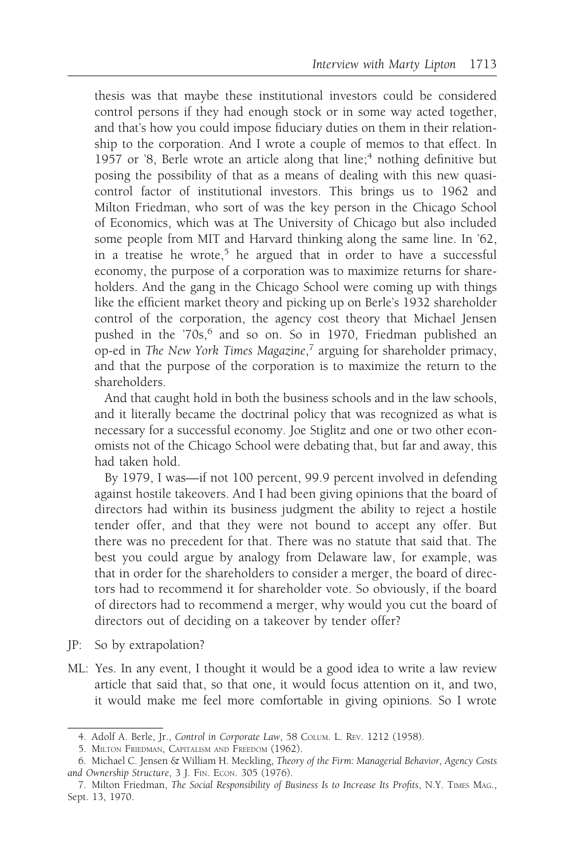thesis was that maybe these institutional investors could be considered control persons if they had enough stock or in some way acted together, and that's how you could impose fiduciary duties on them in their relationship to the corporation. And I wrote a couple of memos to that effect. In 1957 or '8, Berle wrote an article along that line; $<sup>4</sup>$  nothing definitive but</sup> posing the possibility of that as a means of dealing with this new quasicontrol factor of institutional investors. This brings us to 1962 and Milton Friedman, who sort of was the key person in the Chicago School of Economics, which was at The University of Chicago but also included some people from MIT and Harvard thinking along the same line. In '62, in a treatise he wrote,<sup>5</sup> he argued that in order to have a successful economy, the purpose of a corporation was to maximize returns for shareholders. And the gang in the Chicago School were coming up with things like the efficient market theory and picking up on Berle's 1932 shareholder control of the corporation, the agency cost theory that Michael Jensen pushed in the '70s,<sup>6</sup> and so on. So in 1970, Friedman published an op-ed in The New York Times Magazine,<sup>7</sup> arguing for shareholder primacy, and that the purpose of the corporation is to maximize the return to the shareholders.

And that caught hold in both the business schools and in the law schools, and it literally became the doctrinal policy that was recognized as what is necessary for a successful economy. Joe Stiglitz and one or two other economists not of the Chicago School were debating that, but far and away, this had taken hold.

By 1979, I was—if not 100 percent, 99.9 percent involved in defending against hostile takeovers. And I had been giving opinions that the board of directors had within its business judgment the ability to reject a hostile tender offer, and that they were not bound to accept any offer. But there was no precedent for that. There was no statute that said that. The best you could argue by analogy from Delaware law, for example, was that in order for the shareholders to consider a merger, the board of directors had to recommend it for shareholder vote. So obviously, if the board of directors had to recommend a merger, why would you cut the board of directors out of deciding on a takeover by tender offer?

- JP: So by extrapolation?
- ML: Yes. In any event, I thought it would be a good idea to write a law review article that said that, so that one, it would focus attention on it, and two, it would make me feel more comfortable in giving opinions. So I wrote

<sup>4.</sup> Adolf A. Berle, Jr., Control in Corporate Law, 58 COLUM. L. REV. 1212 (1958).

<sup>5.</sup> MILTON FRIEDMAN, CAPITALISM AND FREEDOM (1962).

<sup>6.</sup> Michael C. Jensen & William H. Meckling, Theory of the Firm: Managerial Behavior, Agency Costs and Ownership Structure, 3 J. FIN. ECON. 305 (1976).

<sup>7.</sup> Milton Friedman, The Social Responsibility of Business Is to Increase Its Profits, N.Y. TIMES MAG., Sept. 13, 1970.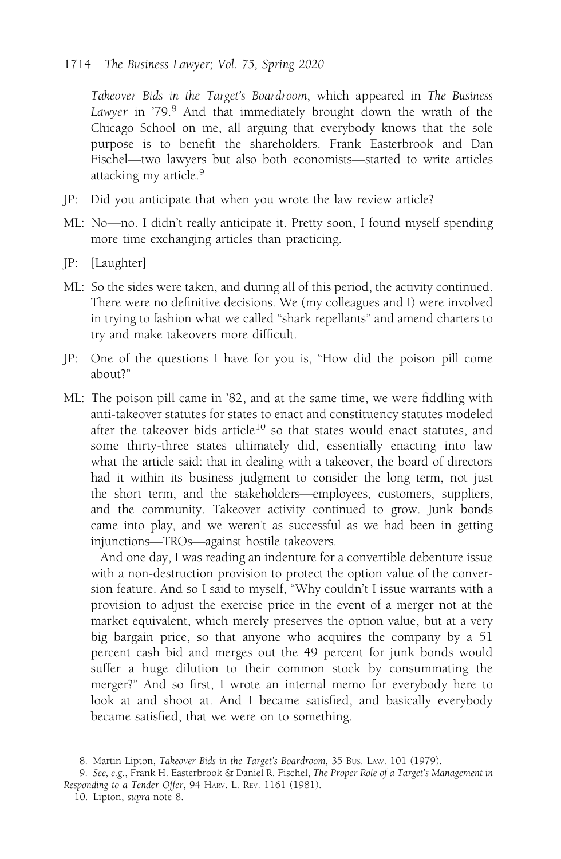Takeover Bids in the Target's Boardroom, which appeared in The Business Lawyer in '79.8 And that immediately brought down the wrath of the Chicago School on me, all arguing that everybody knows that the sole purpose is to benefit the shareholders. Frank Easterbrook and Dan Fischel—two lawyers but also both economists—started to write articles attacking my article.<sup>9</sup>

- JP: Did you anticipate that when you wrote the law review article?
- ML: No—no. I didn't really anticipate it. Pretty soon, I found myself spending more time exchanging articles than practicing.
- JP: [Laughter]
- ML: So the sides were taken, and during all of this period, the activity continued. There were no definitive decisions. We (my colleagues and I) were involved in trying to fashion what we called "shark repellants" and amend charters to try and make takeovers more difficult.
- JP: One of the questions I have for you is, "How did the poison pill come about?"
- ML: The poison pill came in '82, and at the same time, we were fiddling with anti-takeover statutes for states to enact and constituency statutes modeled after the takeover bids article<sup>10</sup> so that states would enact statutes, and some thirty-three states ultimately did, essentially enacting into law what the article said: that in dealing with a takeover, the board of directors had it within its business judgment to consider the long term, not just the short term, and the stakeholders—employees, customers, suppliers, and the community. Takeover activity continued to grow. Junk bonds came into play, and we weren't as successful as we had been in getting injunctions—TROs—against hostile takeovers.

And one day, I was reading an indenture for a convertible debenture issue with a non-destruction provision to protect the option value of the conversion feature. And so I said to myself, "Why couldn't I issue warrants with a provision to adjust the exercise price in the event of a merger not at the market equivalent, which merely preserves the option value, but at a very big bargain price, so that anyone who acquires the company by a 51 percent cash bid and merges out the 49 percent for junk bonds would suffer a huge dilution to their common stock by consummating the merger?" And so first, I wrote an internal memo for everybody here to look at and shoot at. And I became satisfied, and basically everybody became satisfied, that we were on to something.

<sup>8.</sup> Martin Lipton, Takeover Bids in the Target's Boardroom, 35 Bus. Law. 101 (1979).

<sup>9.</sup> See, e.g., Frank H. Easterbrook & Daniel R. Fischel, The Proper Role of a Target's Management in Responding to a Tender Offer, 94 HARV. L. REV. 1161 (1981).

<sup>10.</sup> Lipton, supra note 8.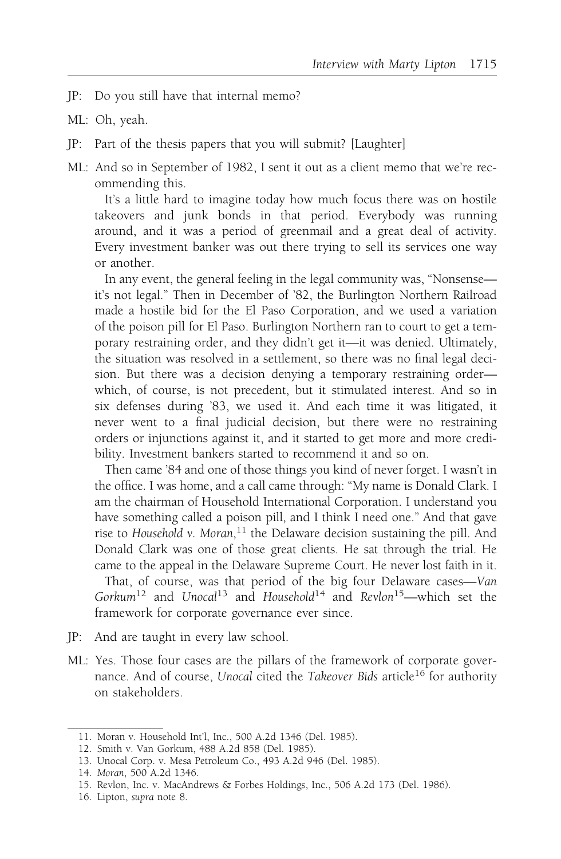- JP: Do you still have that internal memo?
- ML: Oh, yeah.
- JP: Part of the thesis papers that you will submit? [Laughter]
- ML: And so in September of 1982, I sent it out as a client memo that we're recommending this.

It's a little hard to imagine today how much focus there was on hostile takeovers and junk bonds in that period. Everybody was running around, and it was a period of greenmail and a great deal of activity. Every investment banker was out there trying to sell its services one way or another.

In any event, the general feeling in the legal community was, "Nonsense it's not legal." Then in December of '82, the Burlington Northern Railroad made a hostile bid for the El Paso Corporation, and we used a variation of the poison pill for El Paso. Burlington Northern ran to court to get a temporary restraining order, and they didn't get it—it was denied. Ultimately, the situation was resolved in a settlement, so there was no final legal decision. But there was a decision denying a temporary restraining order which, of course, is not precedent, but it stimulated interest. And so in six defenses during '83, we used it. And each time it was litigated, it never went to a final judicial decision, but there were no restraining orders or injunctions against it, and it started to get more and more credibility. Investment bankers started to recommend it and so on.

Then came '84 and one of those things you kind of never forget. I wasn't in the office. I was home, and a call came through: "My name is Donald Clark. I am the chairman of Household International Corporation. I understand you have something called a poison pill, and I think I need one." And that gave rise to Household v. Moran,<sup>11</sup> the Delaware decision sustaining the pill. And Donald Clark was one of those great clients. He sat through the trial. He came to the appeal in the Delaware Supreme Court. He never lost faith in it.

That, of course, was that period of the big four Delaware cases—Van Gorkum<sup>12</sup> and Unocal<sup>13</sup> and Household<sup>14</sup> and Revlon<sup>15</sup>—which set the framework for corporate governance ever since.

- JP: And are taught in every law school.
- ML: Yes. Those four cases are the pillars of the framework of corporate governance. And of course, Unocal cited the Takeover Bids article<sup>16</sup> for authority on stakeholders.

14. Moran, 500 A.2d 1346.

16. Lipton, supra note 8.

<sup>11.</sup> Moran v. Household Int'l, Inc., 500 A.2d 1346 (Del. 1985).

<sup>12.</sup> Smith v. Van Gorkum, 488 A.2d 858 (Del. 1985).

<sup>13.</sup> Unocal Corp. v. Mesa Petroleum Co., 493 A.2d 946 (Del. 1985).

<sup>15.</sup> Revlon, Inc. v. MacAndrews & Forbes Holdings, Inc., 506 A.2d 173 (Del. 1986).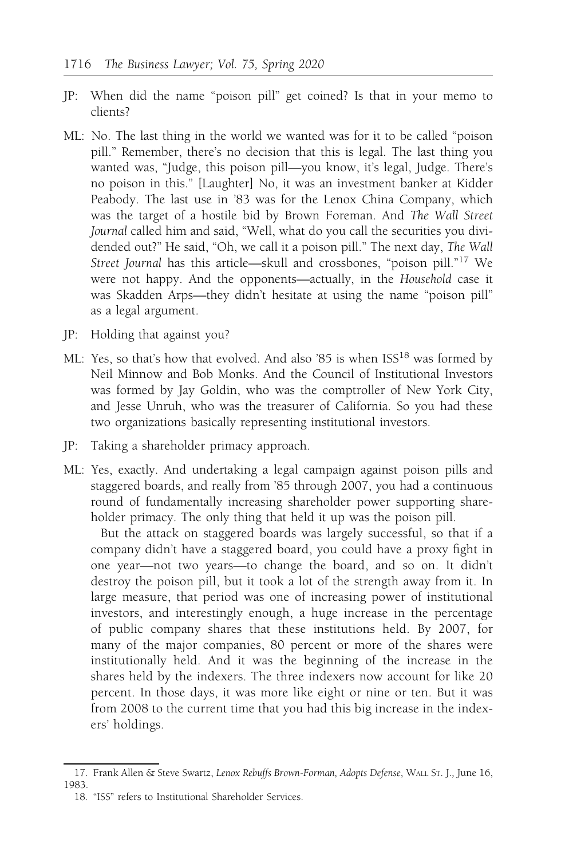- JP: When did the name "poison pill" get coined? Is that in your memo to clients?
- ML: No. The last thing in the world we wanted was for it to be called "poison pill." Remember, there's no decision that this is legal. The last thing you wanted was, "Judge, this poison pill—you know, it's legal, Judge. There's no poison in this." [Laughter] No, it was an investment banker at Kidder Peabody. The last use in '83 was for the Lenox China Company, which was the target of a hostile bid by Brown Foreman. And The Wall Street Journal called him and said, "Well, what do you call the securities you dividended out?" He said, "Oh, we call it a poison pill." The next day, The Wall Street Journal has this article—skull and crossbones, "poison pill."<sup>17</sup> We were not happy. And the opponents—actually, in the Household case it was Skadden Arps—they didn't hesitate at using the name "poison pill" as a legal argument.
- JP: Holding that against you?
- ML: Yes, so that's how that evolved. And also '85 is when ISS<sup>18</sup> was formed by Neil Minnow and Bob Monks. And the Council of Institutional Investors was formed by Jay Goldin, who was the comptroller of New York City, and Jesse Unruh, who was the treasurer of California. So you had these two organizations basically representing institutional investors.
- JP: Taking a shareholder primacy approach.
- ML: Yes, exactly. And undertaking a legal campaign against poison pills and staggered boards, and really from '85 through 2007, you had a continuous round of fundamentally increasing shareholder power supporting shareholder primacy. The only thing that held it up was the poison pill.

But the attack on staggered boards was largely successful, so that if a company didn't have a staggered board, you could have a proxy fight in one year—not two years—to change the board, and so on. It didn't destroy the poison pill, but it took a lot of the strength away from it. In large measure, that period was one of increasing power of institutional investors, and interestingly enough, a huge increase in the percentage of public company shares that these institutions held. By 2007, for many of the major companies, 80 percent or more of the shares were institutionally held. And it was the beginning of the increase in the shares held by the indexers. The three indexers now account for like 20 percent. In those days, it was more like eight or nine or ten. But it was from 2008 to the current time that you had this big increase in the indexers' holdings.

<sup>17.</sup> Frank Allen & Steve Swartz, Lenox Rebuffs Brown-Forman, Adopts Defense, WALL ST. J., June 16, 1983.

<sup>18. &</sup>quot;ISS" refers to Institutional Shareholder Services.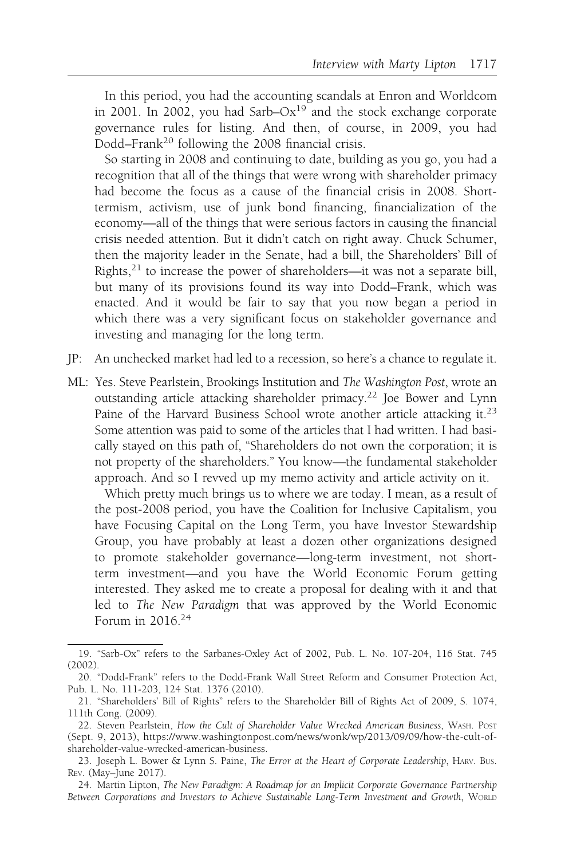In this period, you had the accounting scandals at Enron and Worldcom in 2001. In 2002, you had Sarb– $Ox^{19}$  and the stock exchange corporate governance rules for listing. And then, of course, in 2009, you had Dodd–Frank<sup>20</sup> following the 2008 financial crisis.

So starting in 2008 and continuing to date, building as you go, you had a recognition that all of the things that were wrong with shareholder primacy had become the focus as a cause of the financial crisis in 2008. Shorttermism, activism, use of junk bond financing, financialization of the economy—all of the things that were serious factors in causing the financial crisis needed attention. But it didn't catch on right away. Chuck Schumer, then the majority leader in the Senate, had a bill, the Shareholders' Bill of Rights, $^{21}$  to increase the power of shareholders—it was not a separate bill, but many of its provisions found its way into Dodd–Frank, which was enacted. And it would be fair to say that you now began a period in which there was a very significant focus on stakeholder governance and investing and managing for the long term.

- JP: An unchecked market had led to a recession, so here's a chance to regulate it.
- ML: Yes. Steve Pearlstein, Brookings Institution and The Washington Post, wrote an outstanding article attacking shareholder primacy.<sup>22</sup> Joe Bower and Lynn Paine of the Harvard Business School wrote another article attacking it.<sup>23</sup> Some attention was paid to some of the articles that I had written. I had basically stayed on this path of, "Shareholders do not own the corporation; it is not property of the shareholders." You know—the fundamental stakeholder approach. And so I revved up my memo activity and article activity on it.

Which pretty much brings us to where we are today. I mean, as a result of the post-2008 period, you have the Coalition for Inclusive Capitalism, you have Focusing Capital on the Long Term, you have Investor Stewardship Group, you have probably at least a dozen other organizations designed to promote stakeholder governance—long-term investment, not shortterm investment—and you have the World Economic Forum getting interested. They asked me to create a proposal for dealing with it and that led to The New Paradigm that was approved by the World Economic Forum in 2016.24

<sup>19. &</sup>quot;Sarb-Ox" refers to the Sarbanes-Oxley Act of 2002, Pub. L. No. 107-204, 116 Stat. 745 (2002).

<sup>20. &</sup>quot;Dodd-Frank" refers to the Dodd-Frank Wall Street Reform and Consumer Protection Act, Pub. L. No. 111-203, 124 Stat. 1376 (2010).

<sup>21. &</sup>quot;Shareholders' Bill of Rights" refers to the Shareholder Bill of Rights Act of 2009, S. 1074, 111th Cong. (2009).

<sup>22.</sup> Steven Pearlstein, How the Cult of Shareholder Value Wrecked American Business, WASH. POST (Sept. 9, 2013), https://www.washingtonpost.com/news/wonk/wp/2013/09/09/how-the-cult-ofshareholder-value-wrecked-american-business.

<sup>23.</sup> Joseph L. Bower & Lynn S. Paine, The Error at the Heart of Corporate Leadership, HARV. Bus. REV. (May–June 2017).

<sup>24.</sup> Martin Lipton, The New Paradigm: A Roadmap for an Implicit Corporate Governance Partnership Between Corporations and Investors to Achieve Sustainable Long-Term Investment and Growth, WORLD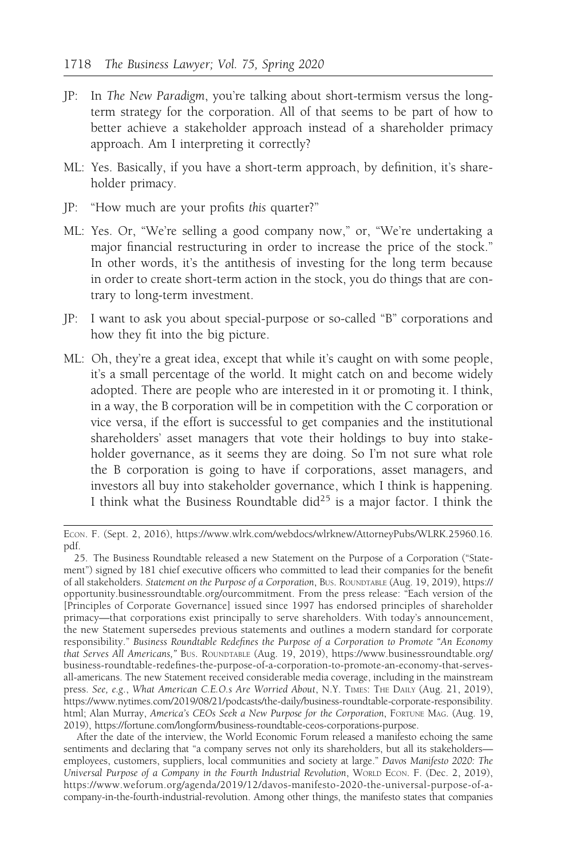- JP: In The New Paradigm, you're talking about short-termism versus the longterm strategy for the corporation. All of that seems to be part of how to better achieve a stakeholder approach instead of a shareholder primacy approach. Am I interpreting it correctly?
- ML: Yes. Basically, if you have a short-term approach, by definition, it's shareholder primacy.
- JP: "How much are your profits this quarter?"
- ML: Yes. Or, "We're selling a good company now," or, "We're undertaking a major financial restructuring in order to increase the price of the stock." In other words, it's the antithesis of investing for the long term because in order to create short-term action in the stock, you do things that are contrary to long-term investment.
- JP: I want to ask you about special-purpose or so-called "B" corporations and how they fit into the big picture.
- ML: Oh, they're a great idea, except that while it's caught on with some people, it's a small percentage of the world. It might catch on and become widely adopted. There are people who are interested in it or promoting it. I think, in a way, the B corporation will be in competition with the C corporation or vice versa, if the effort is successful to get companies and the institutional shareholders' asset managers that vote their holdings to buy into stakeholder governance, as it seems they are doing. So I'm not sure what role the B corporation is going to have if corporations, asset managers, and investors all buy into stakeholder governance, which I think is happening. I think what the Business Roundtable did<sup>25</sup> is a major factor. I think the

ECON. F. (Sept. 2, 2016), https://www.wlrk.com/webdocs/wlrknew/AttorneyPubs/WLRK.25960.16. pdf.

<sup>25.</sup> The Business Roundtable released a new Statement on the Purpose of a Corporation ("Statement") signed by 181 chief executive officers who committed to lead their companies for the benefit of all stakeholders. Statement on the Purpose of a Corporation, BUS. ROUNDTABLE (Aug. 19, 2019), https:// opportunity.businessroundtable.org/ourcommitment. From the press release: "Each version of the [Principles of Corporate Governance] issued since 1997 has endorsed principles of shareholder primacy—that corporations exist principally to serve shareholders. With today's announcement, the new Statement supersedes previous statements and outlines a modern standard for corporate responsibility." Business Roundtable Redefines the Purpose of a Corporation to Promote "An Economy that Serves All Americans," BUS. ROUNDTABLE (Aug. 19, 2019), https://www.businessroundtable.org/ business-roundtable-redefines-the-purpose-of-a-corporation-to-promote-an-economy-that-servesall-americans. The new Statement received considerable media coverage, including in the mainstream press. See, e.g., What American C.E.O.s Are Worried About, N.Y. TIMES: THE DAILY (Aug. 21, 2019), https://www.nytimes.com/2019/08/21/podcasts/the-daily/business-roundtable-corporate-responsibility. html; Alan Murray, America's CEOs Seek a New Purpose for the Corporation, FORTUNE MAG. (Aug. 19, 2019), https://fortune.com/longform/business-roundtable-ceos-corporations-purpose.

After the date of the interview, the World Economic Forum released a manifesto echoing the same sentiments and declaring that "a company serves not only its shareholders, but all its stakeholdersemployees, customers, suppliers, local communities and society at large." Davos Manifesto 2020: The Universal Purpose of a Company in the Fourth Industrial Revolution, WORLD ECON. F. (Dec. 2, 2019), https://www.weforum.org/agenda/2019/12/davos-manifesto-2020-the-universal-purpose-of-acompany-in-the-fourth-industrial-revolution. Among other things, the manifesto states that companies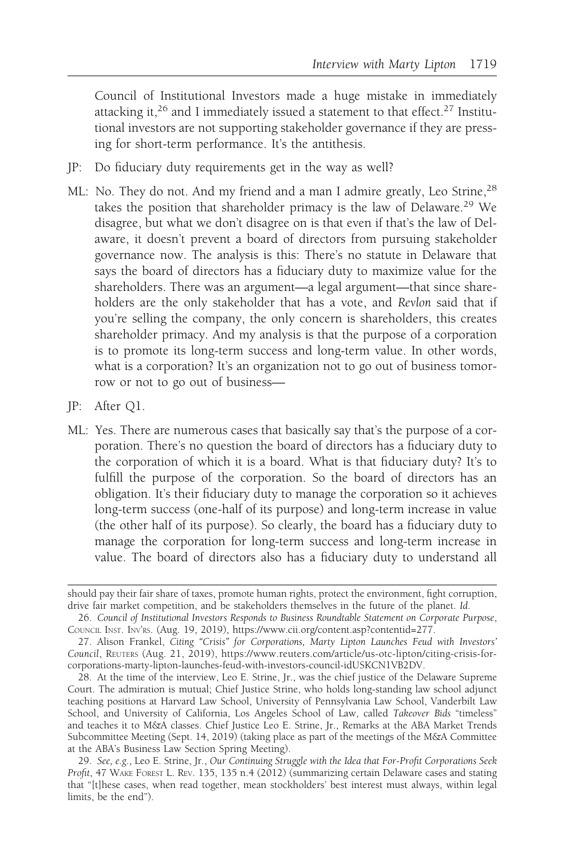Council of Institutional Investors made a huge mistake in immediately attacking it,<sup>26</sup> and I immediately issued a statement to that effect.<sup>27</sup> Institutional investors are not supporting stakeholder governance if they are pressing for short-term performance. It's the antithesis.

- JP: Do fiduciary duty requirements get in the way as well?
- ML: No. They do not. And my friend and a man I admire greatly, Leo Strine, <sup>28</sup> takes the position that shareholder primacy is the law of Delaware.<sup>29</sup> We disagree, but what we don't disagree on is that even if that's the law of Delaware, it doesn't prevent a board of directors from pursuing stakeholder governance now. The analysis is this: There's no statute in Delaware that says the board of directors has a fiduciary duty to maximize value for the shareholders. There was an argument—a legal argument—that since shareholders are the only stakeholder that has a vote, and Revlon said that if you're selling the company, the only concern is shareholders, this creates shareholder primacy. And my analysis is that the purpose of a corporation is to promote its long-term success and long-term value. In other words, what is a corporation? It's an organization not to go out of business tomorrow or not to go out of business—
- JP: After Q1.
- ML: Yes. There are numerous cases that basically say that's the purpose of a corporation. There's no question the board of directors has a fiduciary duty to the corporation of which it is a board. What is that fiduciary duty? It's to fulfill the purpose of the corporation. So the board of directors has an obligation. It's their fiduciary duty to manage the corporation so it achieves long-term success (one-half of its purpose) and long-term increase in value (the other half of its purpose). So clearly, the board has a fiduciary duty to manage the corporation for long-term success and long-term increase in value. The board of directors also has a fiduciary duty to understand all

should pay their fair share of taxes, promote human rights, protect the environment, fight corruption, drive fair market competition, and be stakeholders themselves in the future of the planet. Id.

<sup>26.</sup> Council of Institutional Investors Responds to Business Roundtable Statement on Corporate Purpose, COUNCIL INST. INV'RS. (Aug. 19, 2019), https://www.cii.org/content.asp?contentid=277.

<sup>27.</sup> Alison Frankel, Citing "Crisis" for Corporations, Marty Lipton Launches Feud with Investors' Council, REUTERS (Aug. 21, 2019), https://www.reuters.com/article/us-otc-lipton/citing-crisis-forcorporations-marty-lipton-launches-feud-with-investors-council-idUSKCN1VB2DV.

<sup>28.</sup> At the time of the interview, Leo E. Strine, Jr., was the chief justice of the Delaware Supreme Court. The admiration is mutual; Chief Justice Strine, who holds long-standing law school adjunct teaching positions at Harvard Law School, University of Pennsylvania Law School, Vanderbilt Law School, and University of California, Los Angeles School of Law, called Takeover Bids "timeless" and teaches it to M&A classes. Chief Justice Leo E. Strine, Jr., Remarks at the ABA Market Trends Subcommittee Meeting (Sept. 14, 2019) (taking place as part of the meetings of the M&A Committee at the ABA's Business Law Section Spring Meeting).

<sup>29.</sup> See, e.g., Leo E. Strine, Jr., Our Continuing Struggle with the Idea that For-Profit Corporations Seek Profit, 47 WAKE FOREST L. REV. 135, 135 n.4 (2012) (summarizing certain Delaware cases and stating that "[t]hese cases, when read together, mean stockholders' best interest must always, within legal limits, be the end").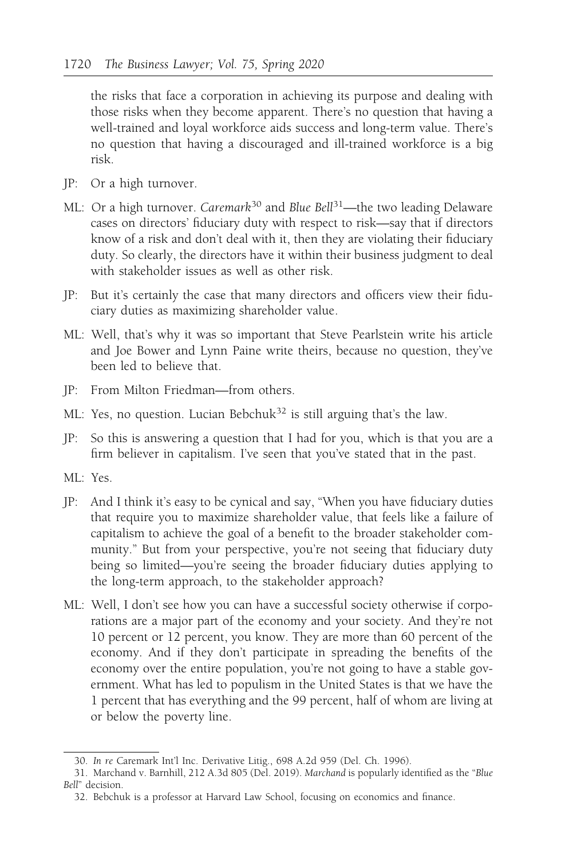the risks that face a corporation in achieving its purpose and dealing with those risks when they become apparent. There's no question that having a well-trained and loyal workforce aids success and long-term value. There's no question that having a discouraged and ill-trained workforce is a big risk.

- JP: Or a high turnover.
- ML: Or a high turnover. Caremark<sup>30</sup> and Blue Bell<sup>31</sup>—the two leading Delaware cases on directors' fiduciary duty with respect to risk—say that if directors know of a risk and don't deal with it, then they are violating their fiduciary duty. So clearly, the directors have it within their business judgment to deal with stakeholder issues as well as other risk.
- JP: But it's certainly the case that many directors and officers view their fiduciary duties as maximizing shareholder value.
- ML: Well, that's why it was so important that Steve Pearlstein write his article and Joe Bower and Lynn Paine write theirs, because no question, they've been led to believe that.
- JP: From Milton Friedman—from others.
- ML: Yes, no question. Lucian Bebchuk<sup>32</sup> is still arguing that's the law.
- JP: So this is answering a question that I had for you, which is that you are a firm believer in capitalism. I've seen that you've stated that in the past.
- ML: Yes.
- JP: And I think it's easy to be cynical and say, "When you have fiduciary duties that require you to maximize shareholder value, that feels like a failure of capitalism to achieve the goal of a benefit to the broader stakeholder community." But from your perspective, you're not seeing that fiduciary duty being so limited—you're seeing the broader fiduciary duties applying to the long-term approach, to the stakeholder approach?
- ML: Well, I don't see how you can have a successful society otherwise if corporations are a major part of the economy and your society. And they're not 10 percent or 12 percent, you know. They are more than 60 percent of the economy. And if they don't participate in spreading the benefits of the economy over the entire population, you're not going to have a stable government. What has led to populism in the United States is that we have the 1 percent that has everything and the 99 percent, half of whom are living at or below the poverty line.

<sup>30.</sup> In re Caremark Int'l Inc. Derivative Litig., 698 A.2d 959 (Del. Ch. 1996).

<sup>31.</sup> Marchand v. Barnhill, 212 A.3d 805 (Del. 2019). Marchand is popularly identified as the "Blue Bell" decision.

<sup>32.</sup> Bebchuk is a professor at Harvard Law School, focusing on economics and finance.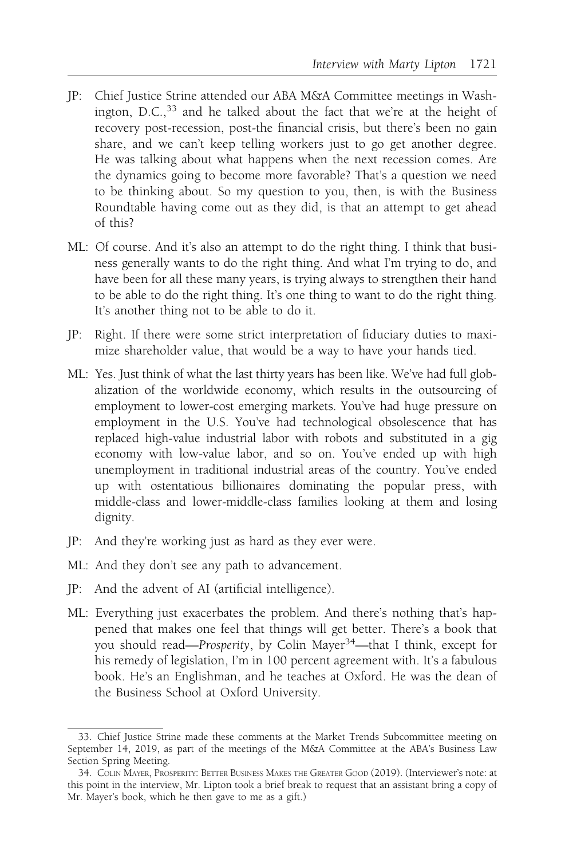- JP: Chief Justice Strine attended our ABA M&A Committee meetings in Washington, D.C.,<sup>33</sup> and he talked about the fact that we're at the height of recovery post-recession, post-the financial crisis, but there's been no gain share, and we can't keep telling workers just to go get another degree. He was talking about what happens when the next recession comes. Are the dynamics going to become more favorable? That's a question we need to be thinking about. So my question to you, then, is with the Business Roundtable having come out as they did, is that an attempt to get ahead of this?
- ML: Of course. And it's also an attempt to do the right thing. I think that business generally wants to do the right thing. And what I'm trying to do, and have been for all these many years, is trying always to strengthen their hand to be able to do the right thing. It's one thing to want to do the right thing. It's another thing not to be able to do it.
- JP: Right. If there were some strict interpretation of fiduciary duties to maximize shareholder value, that would be a way to have your hands tied.
- ML: Yes. Just think of what the last thirty years has been like. We've had full globalization of the worldwide economy, which results in the outsourcing of employment to lower-cost emerging markets. You've had huge pressure on employment in the U.S. You've had technological obsolescence that has replaced high-value industrial labor with robots and substituted in a gig economy with low-value labor, and so on. You've ended up with high unemployment in traditional industrial areas of the country. You've ended up with ostentatious billionaires dominating the popular press, with middle-class and lower-middle-class families looking at them and losing dignity.
- JP: And they're working just as hard as they ever were.
- ML: And they don't see any path to advancement.
- JP: And the advent of AI (artificial intelligence).
- ML: Everything just exacerbates the problem. And there's nothing that's happened that makes one feel that things will get better. There's a book that you should read—Prosperity, by Colin Mayer<sup>34</sup>—that I think, except for his remedy of legislation, I'm in 100 percent agreement with. It's a fabulous book. He's an Englishman, and he teaches at Oxford. He was the dean of the Business School at Oxford University.

<sup>33.</sup> Chief Justice Strine made these comments at the Market Trends Subcommittee meeting on September 14, 2019, as part of the meetings of the M&A Committee at the ABA's Business Law Section Spring Meeting.

<sup>34.</sup> COLIN MAYER, PROSPERITY: BETTER BUSINESS MAKES THE GREATER GOOD (2019). (Interviewer's note: at this point in the interview, Mr. Lipton took a brief break to request that an assistant bring a copy of Mr. Mayer's book, which he then gave to me as a gift.)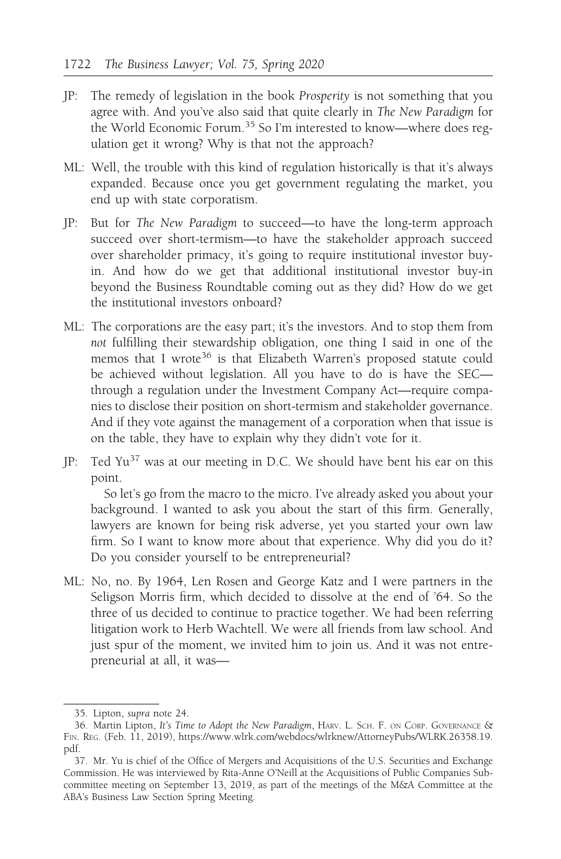- JP: The remedy of legislation in the book Prosperity is not something that you agree with. And you've also said that quite clearly in The New Paradigm for the World Economic Forum.<sup>35</sup> So I'm interested to know—where does regulation get it wrong? Why is that not the approach?
- ML: Well, the trouble with this kind of regulation historically is that it's always expanded. Because once you get government regulating the market, you end up with state corporatism.
- JP: But for The New Paradigm to succeed—to have the long-term approach succeed over short-termism—to have the stakeholder approach succeed over shareholder primacy, it's going to require institutional investor buyin. And how do we get that additional institutional investor buy-in beyond the Business Roundtable coming out as they did? How do we get the institutional investors onboard?
- ML: The corporations are the easy part; it's the investors. And to stop them from not fulfilling their stewardship obligation, one thing I said in one of the memos that I wrote<sup>36</sup> is that Elizabeth Warren's proposed statute could be achieved without legislation. All you have to do is have the SEC through a regulation under the Investment Company Act—require companies to disclose their position on short-termism and stakeholder governance. And if they vote against the management of a corporation when that issue is on the table, they have to explain why they didn't vote for it.
- JP: Ted Yu<sup>37</sup> was at our meeting in D.C. We should have bent his ear on this point.

So let's go from the macro to the micro. I've already asked you about your background. I wanted to ask you about the start of this firm. Generally, lawyers are known for being risk adverse, yet you started your own law firm. So I want to know more about that experience. Why did you do it? Do you consider yourself to be entrepreneurial?

ML: No, no. By 1964, Len Rosen and George Katz and I were partners in the Seligson Morris firm, which decided to dissolve at the end of '64. So the three of us decided to continue to practice together. We had been referring litigation work to Herb Wachtell. We were all friends from law school. And just spur of the moment, we invited him to join us. And it was not entrepreneurial at all, it was—

<sup>35.</sup> Lipton, supra note 24.

<sup>36.</sup> Martin Lipton, It's Time to Adopt the New Paradigm, HARV. L. SCH. F. ON CORP. GOVERNANCE & FIN. REG. (Feb. 11, 2019), https://www.wlrk.com/webdocs/wlrknew/AttorneyPubs/WLRK.26358.19. pdf.

<sup>37.</sup> Mr. Yu is chief of the Office of Mergers and Acquisitions of the U.S. Securities and Exchange Commission. He was interviewed by Rita-Anne O'Neill at the Acquisitions of Public Companies Subcommittee meeting on September 13, 2019, as part of the meetings of the M&A Committee at the ABA's Business Law Section Spring Meeting.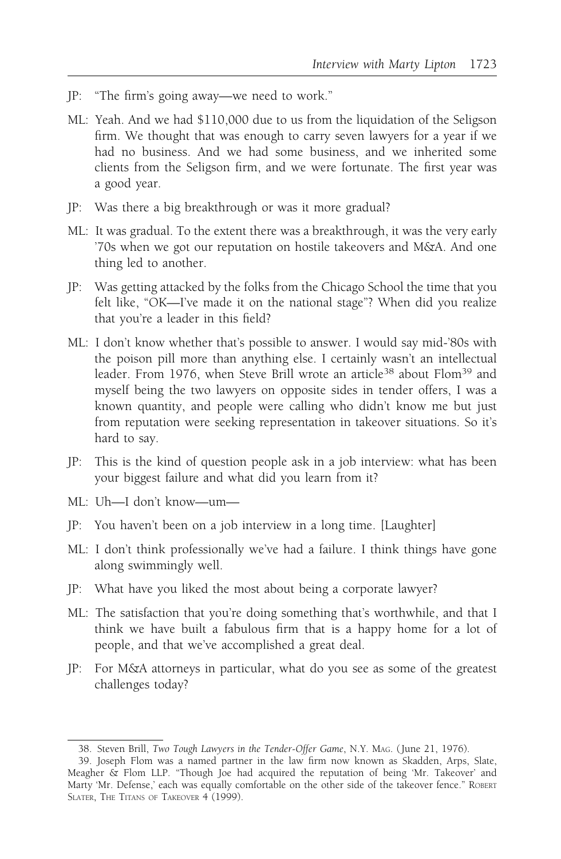- JP: "The firm's going away—we need to work."
- ML: Yeah. And we had \$110,000 due to us from the liquidation of the Seligson firm. We thought that was enough to carry seven lawyers for a year if we had no business. And we had some business, and we inherited some clients from the Seligson firm, and we were fortunate. The first year was a good year.
- JP: Was there a big breakthrough or was it more gradual?
- ML: It was gradual. To the extent there was a breakthrough, it was the very early '70s when we got our reputation on hostile takeovers and M&A. And one thing led to another.
- JP: Was getting attacked by the folks from the Chicago School the time that you felt like, "OK—I've made it on the national stage"? When did you realize that you're a leader in this field?
- ML: I don't know whether that's possible to answer. I would say mid-'80s with the poison pill more than anything else. I certainly wasn't an intellectual leader. From 1976, when Steve Brill wrote an article<sup>38</sup> about Flom<sup>39</sup> and myself being the two lawyers on opposite sides in tender offers, I was a known quantity, and people were calling who didn't know me but just from reputation were seeking representation in takeover situations. So it's hard to say.
- JP: This is the kind of question people ask in a job interview: what has been your biggest failure and what did you learn from it?
- ML: Uh—I don't know—um—
- JP: You haven't been on a job interview in a long time. [Laughter]
- ML: I don't think professionally we've had a failure. I think things have gone along swimmingly well.
- JP: What have you liked the most about being a corporate lawyer?
- ML: The satisfaction that you're doing something that's worthwhile, and that I think we have built a fabulous firm that is a happy home for a lot of people, and that we've accomplished a great deal.
- JP: For M&A attorneys in particular, what do you see as some of the greatest challenges today?

<sup>38.</sup> Steven Brill, Two Tough Lawyers in the Tender-Offer Game, N.Y. MAG. ( June 21, 1976).

<sup>39.</sup> Joseph Flom was a named partner in the law firm now known as Skadden, Arps, Slate, Meagher & Flom LLP. "Though Joe had acquired the reputation of being 'Mr. Takeover' and Marty 'Mr. Defense,' each was equally comfortable on the other side of the takeover fence." ROBERT SLATER, THE TITANS OF TAKEOVER 4 (1999).